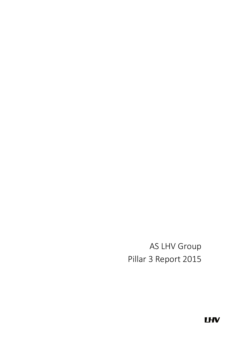AS LHV Group Pillar 3 Report 2015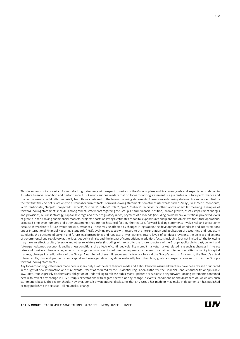This document contains certain forward-looking statements with respect to certain of the Group's plans and its current goals and expectations relating to its future financial condition and performance. LHV Group cautions readers that no forward-looking statement is a guarantee of future performance and that actual results could differ materially from those contained in the forward-looking statements. These forward-looking statements can be identified by the fact that they do not relate only to historical or current facts. Forward-looking statements sometimes use words such as 'may', 'will', 'seek', 'continue', 'aim', 'anticipate', 'target', 'projected', 'expect', 'estimate', 'intend', 'plan', 'goal', 'believe', 'achieve' or other words of similar meaning. Examples of forward-looking statements include, among others, statements regarding the Group's future financial position, income growth, assets, impairment charges and provisions, business strategy, capital, leverage and other regulatory ratios, payment of dividends (including dividend pay-out ratios), projected levels of growth in the banking and financial markets, projected costs or savings, estimates of capital expenditures and plans and objectives for future operations, projected employee numbers and other statements that are not historical fact. By their nature, forward-looking statements involve risk and uncertainty because they relate to future events and circumstances. These may be affected by changes in legislation, the development of standards and interpretations under International Financial Reporting Standards (IFRS), evolving practices with regard to the interpretation and application of accounting and regulatory standards, the outcome of current and future legal proceedings and regulatory investigations, future levels of conduct provisions, the policies and actions of governmental and regulatory authorities, geopolitical risks and the impact of competition. In addition, factors including (but not limited to) the following may have an effect: capital, leverage and other regulatory rules (including with regard to the future structure of the Group) applicable to past, current and future periods; macroeconomic and business conditions; the effects of continued volatility in credit markets; market related risks such as changes in interest rates and foreign exchange rates; effects of changes in valuation of credit market exposures; changes in valuation of issued securities; volatility in capital markets; changes in credit ratings of the Group. A number of these influences and factors are beyond the Group's control. As a result, the Group's actual future results, dividend payments, and capital and leverage ratios may differ materially from the plans, goals, and expectations set forth in the Group's forward-looking statements.

Any forward-looking statements made herein speak only as of the date they are made and it should not be assumed that they have been revised or updated in the light of new information or future events. Except as required by the Prudential Regulation Authority, the Financial Conduct Authority, or applicable law, LHV Group expressly disclaims any obligation or undertaking to release publicly any updates or revisions to any forward-looking statements contained herein to reflect any change in LHV Group's expectations with regard thereto or any change in events, conditions or circumstances on which any such statement is based. The reader should, however, consult any additional disclosures that LHV Group has made or may make in documents it has published or may publish via the Nasdaq Tallinn Stock Exchange

 $\overline{a}$ 

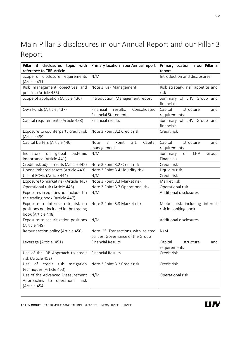# <span id="page-2-0"></span>Main Pillar 3 disclosures in our Annual Report and our Pillar 3 Report

| Pillar 3 disclosures topic with<br>reference to CRR-Article                                      | Primary location in our Annual report                                 | Primary location in our Pillar 3<br>report             |
|--------------------------------------------------------------------------------------------------|-----------------------------------------------------------------------|--------------------------------------------------------|
| Scope of disclosure requirements<br>(Article 431)                                                | N/M                                                                   | Introduction and disclosures                           |
| Risk management objectives and<br>policies (Article 435)                                         | Note 3 Risk Management                                                | Risk strategy, risk appetite and<br>risk               |
| Scope of application (Article 436)                                                               | Introduction, Management report                                       | Summary of LHV Group and<br>financials                 |
| Own Funds (Article. 437)                                                                         | Financial<br>Consolidated<br>results,<br><b>Financial Statements</b>  | Capital<br>structure<br>and<br>requirements            |
| Capital requirements (Article 438)                                                               | Financial results                                                     | Summary of LHV Group and<br>financials                 |
| Exposure to counterparty credit risk<br>(Article 439)                                            | Note 3 Point 3.2 Credit risk                                          | Credit risk                                            |
| Capital buffers (Article 440)                                                                    | Note<br>$\mathbf{3}$<br>Capital<br>Point<br>3.1<br>management         | Capital<br>structure<br>and<br>requirements            |
| of<br>Indicators<br>global<br>systemic<br>importance (Article 441)                               | N/M                                                                   | Summary<br>of<br>LHV<br>Group<br>Financials            |
| Credit risk adjustments (Article 442)                                                            | Note 3 Point 3.2 Credit risk                                          | Credit risk                                            |
| Unencumbered assets (Article 443)                                                                | Note 3 Point 3.4 Liquidity risk                                       | Liquidity risk                                         |
| Use of ECAIs (Article 444)                                                                       | N/M                                                                   | Credit risk                                            |
| Exposure to market risk (Article 445)                                                            | Note 3 Point 3.3 Market risk                                          | Market risk                                            |
| Operational risk (Article 446)                                                                   | Note 3 Point 3.7 Operational risk                                     | Operational risk                                       |
| Exposures in equities not included in<br>the trading book (Article 447)                          | N/M                                                                   | Additional disclosures                                 |
| Exposure to interest rate risk on<br>positions not included in the trading<br>book (Article 448) | Note 3 Point 3.3 Market risk                                          | Market risk including interest<br>risk in banking book |
| Exposure to securitization positions<br>(Article 449)                                            | N/M                                                                   | Additional disclosures                                 |
| Remuneration policy (Article 450)                                                                | Note 25 Transactions with related<br>parties, Governance of the Group | N/M                                                    |
| Leverage (Article. 451)                                                                          | Financial Results                                                     | and<br>Capital<br>structure<br>requirements            |
| Use of the IRB Approach to credit<br>risk (Article 452)                                          | <b>Financial Results</b>                                              | Credit risk                                            |
| Use of credit<br>risk<br>mitigation<br>techniques (Article 453)                                  | Note 3 Point 3.2 Credit risk                                          | Credit risk                                            |
| Use of the Advanced Measurement<br>Approaches to operational risk<br>(Article 454)               | N/M                                                                   | Operational risk                                       |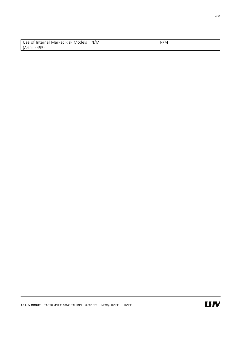| Use of Internal Market Risk Models | N/M | N/M |
|------------------------------------|-----|-----|
| (Article 455)                      |     |     |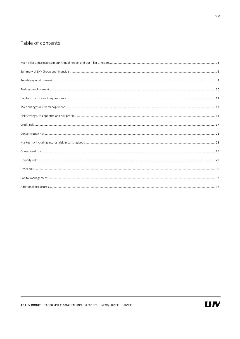## Table of contents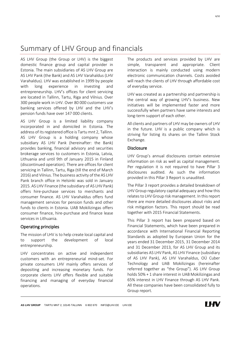## <span id="page-5-0"></span>Summary of LHV Group and financials

AS LHV Group (the Group or LHV) is the biggest domestic finance group and capital provider in Estonia. The main subsidiaries of AS LHV Group are AS LHV Pank (the Bank) and AS LHV Varahaldus (LHV Varahaldus). LHV was established in 1999 by people with long experience in investing and entrepreneurship. LHV's offices for client servicing are located in Tallinn, Tartu, Riga and Vilnius. Over 300 people work in LHV. Over 80 000 customers use banking services offered by LHV and the LHV's pension funds have over 147 000 clients.

AS LHV Group is a limited liability company incorporated in and domiciled in Estonia. The address of its registered office is Tartu mnt 2, Tallinn. AS LHV Group is a holding company whose subsidiary AS LHV Pank (hereinafter: the Bank) provides banking, financial advisory and securities brokerage services to customers in Estonia, Latvia, Lithuania and until 9th of January 2015 in Finland (discontinued operation). There are offices for client servicing in Tallinn, Tartu, Riga (till the end of March 2016) and Vilnius. The business activity of the AS LHV Pank branch office in Helsinki was sold in January 2015. AS LHV Finance (the subsidiary of AS LHV Pank) offers hire-purchase services to merchants and consumer finance. AS LHV Varahaldus offers fund management services for pension funds and other funds to clients in Estonia. UAB Mokilizingas offers consumer finance, hire-purchase and finance lease services in Lithuania.

### Operating principles

The mission of LHV is to help create local capital and to support the development of local entrepreneurship.

LHV concentrates on active and independent customers with an entrepreneurial mind-set. For private consumers LHV mainly offers services of depositing and increasing monetary funds. For corporate clients LHV offers flexible and suitable financing and managing of everyday financial operations.

The products and services provided by LHV are simple, transparent and appropriate. Client interaction is mainly conducted using modern electronic communication channels. Costs avoided will reach the clients of LHV through affordable cost of everyday service.

LHV was created as a partnership and partnership is the central way of growing LHV's business. New initiatives will be implemented faster and more successfully when partners have same interests and long-term support of each other.

All clients and partners of LHV may be owners of LHV in the future. LHV is a public company which is striving for listing its shares on the Tallinn Stock Exchange.

#### **Disclosure**

LHV Group's annual disclosures contain extensive information on risk as well as capital management. Per regulation it is not required to have Pillar 3 disclosures audited. As such the information provided in this Pillar 3 Report is unaudited.

The Pillar 3 report provides a detailed breakdown of LHV Group regulatory capital adequacy and how this relates to LHV Group risk management. In this report there are more detailed disclosures about risks and risk mitigation factors. This report should be read together with 2015 Financial Statements.

This Pillar 3 report has been prepared based on Financial Statements, which have been prepared in accordance with International Financial Reporting Standards as adopted by European Union for the years ended 31 December 2015, 31 December 2014 and 31 December 2013, for AS LHV Group and its subsidiaries AS LHV Pank, AS LHV Finance (subsidiary of AS LHV Pank), AS LHV Varahaldus, OÜ Cuber Technology and UAB Mokilizingas (hereinafter referred together as "the Group"). AS LHV Group holds 50% + 1 share interest in UAB Mokilizingas and 65% interest in LHV Finance through AS LHV Pank. All these companies have been consolidated fully to Group report.

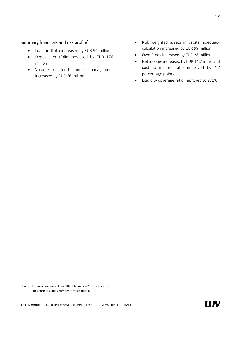## Summary financials and risk profile $1$

- Loan portfolio increased by EUR 94 million
- Deposits portfolio increased by EUR 176 million
- Volume of funds under management increased by EUR 66 million
- Risk weighted assets in capital adequacy calculation increased by EUR 99 million
- Own funds increased by EUR 28 million
- Net income increased by EUR 14.7 millio and cost to income ratio improved by 4.7 percentage points
- Liquidity coverage ratio improved to 271%

<sup>1</sup> Finnish business line was sold on 9th of January 2015. In all results this business unit's numbers are separated.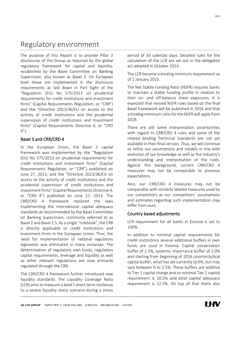## <span id="page-7-0"></span>Regulatory environment

The purpose of this Report is to provide Pillar 3 disclosures of the Group as required by the global regulatory framework for capital and liquidity, established by the Basel Committee on Banking Supervision, also known as Basel 3. On European level these are implemented in the disclosure requirements as laid down in Part Eight of the "Regulation (EU) No 575/2013 on prudential requirements for credit institutions and investment firms" (Capital Requirements Regulation, or "CRR") and the "Directive 2013/36/EU on access to the activity of credit institutions and the prudential supervision of credit institutions and investment firms" (Capital Requirements Directive 4, or "CRD  $4'$ ).

### Basel 3 and CRR/CRD 4

In the European Union, the Basel 3 capital framework was implemented by the "Regulation (EU) No 575/2013 on prudential requirements for credit institutions and investment firms" (Capital Requirements Regulation, or "CRR") published on June 27, 2013, and the "Directive 2013/36/EU on access to the activity of credit institutions and the prudential supervision of credit institutions and investment firms" (Capital Requirements Directive 4, or "CRD 4") published on June 27, 2013. The CRR/CRD 4 framework replaced the laws implementing the international capital adequacy standards as recommended by the Basel Committee on Banking Supervision, commonly referred to as Basel 2 and Basel 2.5. As a single "rulebook", the CRR is directly applicable to credit institutions and investment firms in the European Union. Thus, the need for implementation of national regulatory legislation was eliminated in many instances. The determination of regulatory own funds, regulatory capital requirements, leverage and liquidity as well as other relevant regulations are now primarily regulated through the CRR.

The CRR/CRD 4 framework further introduced new liquidity standards. The Liquidity Coverage Ratio (LCR) aims to measure a bank's short-term resilience to a severe liquidity stress scenario during a stress

period of 30 calendar days. Detailed rules for the calculation of the LCR are set out in the delegated act adopted in October 2014.

The LCR became a binding minimum requirement as of 1 January 2015.

The Net Stable Funding Ratio (NSFR) requires banks to maintain a stable funding profile in relation to their on- and off-balance sheet exposures. It is expected that revised NSFR rules based on the final Basel framework will be published in 2016 and that a binding minimum ratio for the NSFR will apply from 2018.

There are still some interpretation uncertainties with regard to CRR/CRD 4 rules and some of the related binding Technical Standards are not yet available in their final version. Thus, we will continue to refine our assumptions and models in line with evolution of our knowledge as well as the industry's understanding and interpretation of the rules. Against this background, current CRR/CRD 4 measures may not be comparable to previous expectations.

Also, our CRR/CRD 4 measures may not be comparable with similarly labeled measures used by our competitors as our competitors' assumptions and estimates regarding such implementation may differ from ours.

### Country based adjustments

LCR requirement for all banks in Estonia is set to 100%.

In addition to minimal capital requirements for credit institutions several additional buffers in own funds are used in Estonia. Capital conservation buffer of 2.5%, systemic importance buffer of 2.0% and starting from beginning of 2016 countercyclical capital buffer, what has set currently to 0%, but may vary between 0 to 2.5%. These buffers are additive to Tier 1 capital charge and so minimal Tier 1 capital requirement is 10.5% and total capital adequacy requirement is 12.5%. On top of that there also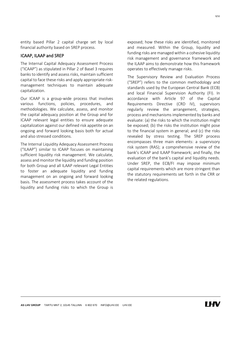entity based Pillar 2 capital charge set by local financial authority based on SREP process.

#### ICAAP, ILAAP and SREP

The lnternal Capital Adequacy Assessment Process ("ICAAP") as stipulated in Pillar 2 of Basel 3 requires banks to identify and assess risks, maintain sufficient capital to face these risks and apply appropriate riskmanagement techniques to maintain adequate capitalization.

Our ICAAP is a group-wide process that involves various functions, policies, procedures, and methodologies. We calculate, assess, and monitor the capital adequacy position at the Group and for ICAAP relevant legal entities to ensure adequate capitalization against our defined risk appetite on an ongoing and forward looking basis both for actual and also stressed conditions.

The Internal Liquidity Adequacy Assessment Process ("ILAAP") similar to ICAAP focuses on maintaining sufficient liquidity risk management. We calculate, assess and monitor the liquidity and funding position for both Group and all ILAAP relevant Legal Entities to foster an adequate liquidity and funding management on an ongoing and forward looking basis. The assessment process takes account of the liquidity and funding risks to which the Group is exposed; how these risks are identified, monitored and measured. Within the Group, liquidity and funding risks are managed within a cohesive liquidity risk management and governance framework and the ILAAP aims to demonstrate how this framework operates to effectively manage risks.

The Supervisory Review and Evaluation Process ("SREP") refers to the common methodology and standards used by the European Central Bank (ECB) and local Financial Supervision Authority (FI). In accordance with Article 97 of the Capital Requirements Directive (CRD IV), supervisors regularly review the arrangement, strategies, process and mechanisms implemented by banks and evaluate: (a) the risks to which the institution might be exposed; (b) the risks the institution might pose to the financial system in general; and (c) the risks revealed by stress testing. The SREP process encompasses three main elements: a supervisory risk system (RAS); a comprehensive review of the bank's ICAAP and ILAAP framework; and finally, the evaluation of the bank's capital and liquidity needs. Under SREP, the ECB/FI may impose minimum capital requirements which are more stringent than the statutory requirements set forth in the CRR or the related regulations.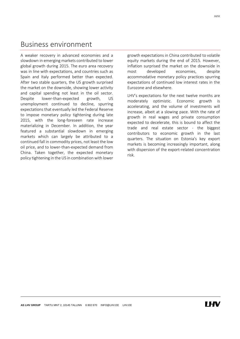## <span id="page-9-0"></span>Business environment

A weaker recovery in advanced economies and a slowdown in emerging markets contributed to lower global growth during 2015. The euro area recovery was in line with expectations, and countries such as Spain and Italy performed better than expected. After two stable quarters, the US growth surprised the market on the downside, showing lower activity and capital spending not least in the oil sector. Despite lower-than-expected growth, US unemployment continued to decline, spurring expectations that eventually led the Federal Reserve to impose monetary policy tightening during late 2015, with the long-foreseen rate increase materializing in December. In addition, the year featured a substantial slowdown in emerging markets which can largely be attributed to a continued fall in commodity prices, not least the low oil price, and to lower-than-expected demand from China. Taken together, the expected monetary policy tightening in the US in combination with lower

growth expectations in China contributed to volatile equity markets during the end of 2015. However, inflation surprised the market on the downside in most developed economies, despite accommodative monetary policy practices spurring expectations of continued low interest rates in the Eurozone and elsewhere.

LHV's expectations for the next twelve months are moderately optimistic. Economic growth is accelerating, and the volume of investments will increase, albeit at a slowing pace. With the rate of growth in real wages and private consumption expected to decelerate, this is bound to affect the trade and real estate sector - the biggest contributors to economic growth in the last quarters. The situation on Estonia's key export markets is becoming increasingly important, along with dispersion of the export-related concentration risk.

10/32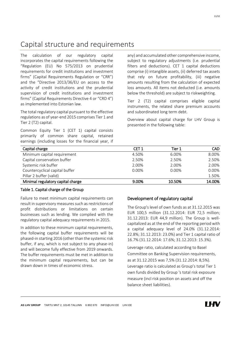## <span id="page-10-0"></span>Capital structure and requirements

The calculation of our regulatory capital incorporates the capital requirements following the "Regulation (EU) No 575/2013 on prudential requirements for credit institutions and investment firms" (Capital Requirements Regulation or "CRR") and the "Directive 2013/36/EU on access to the activity of credit institutions and the prudential supervision of credit institutions and investment firms" (Capital Requirements Directive 4 or "CRD 4") as implemented into Estonian law.

The total regulatory capital pursuant to the effective regulations as of year-end 2015 comprises Tier 1 and Tier 2 (T2) capital.

Common Equity Tier 1 (CET 1) capital consists primarily of common share capital, retained earnings (including losses for the financial year, if any) and accumulated other comprehensive income, subject to regulatory adjustments (i.e. prudential filters and deductions). CET 1 capital deductions comprise (i) intangible assets, (ii) deferred tax assets that rely on future profitability, (iii) negative amounts resulting from the calculation of expected loss amounts. All items not deducted (i.e. amounts below the threshold) are subject to riskweighting.

Tier 2 (T2) capital comprises eligible capital instruments, the related share premium accounts and subordinated long term debt.

Overview about capital charge for LHV Group is presented in the following table:

| Capital charge                    | CET 1    | Tier 1 | <b>CAD</b> |
|-----------------------------------|----------|--------|------------|
| Minimum capital requirement       | 4.50%    | 6.00%  | 8.00%      |
| Capital conservation buffer       | 2.50%    | 2.50%  | 2.50%      |
| Systemic risk buffer              | 2.00%    | 2.00%  | 2.00%      |
| Countercyclical capital buffer    | $0.00\%$ | 0.00%  | 0.00%      |
| Pillar 2 buffer (valid)           |          |        | 1.50%      |
| Minimal regulatory capital charge | 9.00%    | 10.50% | 14.00%     |

#### Table 1. Capital charge of the Group

Failure to meet minimum capital requirements can result in supervisory measures such as restrictions of profit distributions or limitations on certain businesses such as lending. We complied with the regulatory capital adequacy requirements in 2015.

In addition to these minimum capital requirements, the following capital buffer requirements will be phased-in starting 2016 (other than the systemic risk buffer, if any, which is not subject to any phase-in) and will become fully effective from 2019 onwards. The buffer requirements must be met in addition to the minimum capital requirements, but can be drawn down in times of economic stress.

### Development of regulatory capital

The Group's level of own funds as at 31.12.2015 was EUR 100,5 million (31.12.2014: EUR 72,5 million; 31.12.2013: EUR 44,9 million). The Group is wellcapitalized as at the end of the reporting period with a capital adequacy level of 24.0% (31.12.2014: 22.8%; 31.12.2013: 23.0%) and Tier 1 capital ratio of 16.7% (31.12.2014: 17.6%; 31.12.2013: 15.3%).

Leverage ratio, calculated according to Basel Committee on Banking Supervision requirements, as at 31.12.2015 was 7,5% (31.12.2014: 8,5%). Leverage ratio is calculated as Group's total Tier 1 own funds divided by Group 's total risk exposure measure (incl risk position on assets and off the balance sheet liabilities).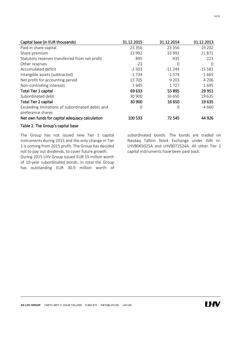| Capital base (in EUR thousands)                 | 31.12.2015 | 31.12.2014 | 31.12.2013 |
|-------------------------------------------------|------------|------------|------------|
| Paid-in share capital                           | 23 3 5 6   | 23 3 5 6   | 19 202     |
| Share premium                                   | 33 992     | 33 992     | 21871      |
| Statutory reserves transferred from net profit  | 895        | 435        | 223        |
| Other reserves                                  | $-23$      | 0          | $\Omega$   |
| Accumulated deficit                             | $-2503$    | $-11244$   | $-15581$   |
| Intangible assets (subtracted)                  | $-1734$    | $-1574$    | $-1665$    |
| Net profit for accounting period                | 13 705     | 9 2 0 3    | 4 2 0 6    |
| Non-controlling interests                       | 1945       | 1727       | 1695       |
| <b>Total Tier 1 capital</b>                     | 69 633     | 55 895     | 29 9 51    |
| Subordinated debt                               | 30 900     | 16 650     | 19 635     |
| <b>Total Tier 2 capital</b>                     | 30 900     | 16 650     | 19 635     |
| Exceeding limitations of subordinated debts and | 0          | 0          | $-4660$    |
| preference shares                               |            |            |            |
| Net own funds for capital adequacy calculation  | 100 533    | 72 545     | 44 9 26    |

### Table 2. The Group's capital base

The Group has not issued new Tier 1 capital instruments during 2015 and the only change in Tier 1 is coming from 2015 profit. The Group has decided not to pay out dividends, to cover future growth.

During 2015 LHV Group issued EUR 15 million worth of 10-year subordinated bonds. In total the Group has outstanding EUR 30.9 million worth of subordinated bonds. The bonds are traded on Nasdaq Tallinn Stock Exchange under ISIN nr: LHVB065025A and LHVB072524A. All other Tier 2 capital instruments have been paid back.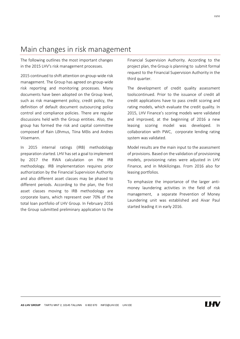## <span id="page-12-0"></span>Main changes in risk management

The following outlines the most important changes in the 2015 LHV's risk management processes.

2015 continued to shift attention on group-wide risk management. The Group has agreed on group-wide risk reporting and monitoring processes. Many documents have been adopted on the Group level, such as risk management policy, credit policy, the definition of default document outsourcing policy control and compliance policies. There are regular discussions held with the Group entities. Also, the group has formed the risk and capital committee composed of Rain Lõhmus, Tiina Mõis and Andres Viisemann.

In 2015 internal ratings (IRB) methodology preparation started. LHV has set a goal to implement by 2017 the RWA calculation on the IRB methodology. IRB implementation requires prior authorization by the Financial Supervision Authority and also different asset classes may be phased to different periods. According to the plan, the first asset classes moving to IRB methodology are corporate loans, which represent over 70% of the total loan portfolio of LHV Group. In February 2016 the Group submitted preliminary application to the Financial Supervision Authority. According to the project plan, the Group is planning to submit formal request to the Financial Supervision Authority in the third quarter.

The development of credit quality assessment toolscontinued. Prior to the issuance of credit all credit applications have to pass credit scoring and rating models, which evaluate the credit quality. In 2015, LHV Finance's scoring models were validated and improved, at the beginning of 2016 a new leasing scoring model was developed. In collaboration with PWC, corporate lending rating system was validated.

Model results are the main input to the assessment of provisions. Based on the validation of provisioning models, provisioning rates were adjusted in LHV Finance, and in Mokilizingas. From 2016 also for leasing portfolios.

To emphasize the importance of the larger antimoney laundering activities in the field of risk management, a separate Prevention of Money Laundering unit was established and Aivar Paul started leading it in early 2016.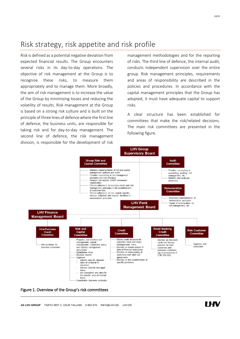<span id="page-13-0"></span>Risk is defined as a potential negative deviation from expected financial results. The Group encounters several risks in its day-to-day operations. The objective of risk management at the Group is to recognise these risks, to measure them appropriately and to manage them. More broadly, the aim of risk management is to increase the value of the Group by minimising losses and reducing the volatility of results. Risk management at the Group is based on a strong risk culture and is built on the principle of three lines of defence where the first line of defence, the business units, are responsible for taking risk and for day-to-day management. The second line of defence, the risk management division, is responsible for the development of risk

management methodologies and for the reporting of risks. The third line of defence, the internal audit, conducts independent supervision over the entire group. Risk management principles, requirements and areas of responsibility are described in the policies and procedures. In accordance with the capital management principles that the Group has adopted, it must have adequate capital to support risks.

A clear structure has been established for committees that make the risk/related decisions. The main risk committees are presented in the following figure.



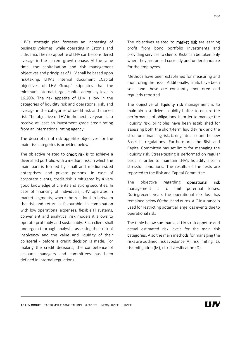LHV's strategic plan foresees an increasing of business volumes, while operating in Estonia and Lithuania. The risk appetite of LHV can be considered average in the current growth phase. At the same time, the capitalisation and risk management objectives and principles of LHV shall be based upon risk-taking. LHV's internal document "Capital objectives of LHV Group" stipulates that the minimum internal target capital adequacy level is 16.20%. The risk appetite of LHV is low in the categories of liquidity risk and operational risk, and average in the categories of credit risk and market risk. The objective of LHV in the next five years is to receive at least an investment grade credit rating from an international rating agency.

The description of risk appetite objectives for the main risk categories is provided below.

The objective related to credit risk is to achieve a diversified portfolio with a medium risk, in which the main part is formed by small and medium-sized enterprises, and private persons. In case of corporate clients, credit risk is mitigated by a very good knowledge of clients and strong securities. In case of financing of individuals, LHV operates in market segments, where the relationship between the risk and return is favourable. In combination with low operational expenses, flexible IT systems, convenient and analytical risk models it allows to operate profitably and sustainably. Each client shall undergo a thorough analysis - assessing their risk of insolvency and the value and liquidity of their collateral - before a credit decision is made. For making the credit decisions, the competence of account managers and committees has been defined in internal regulations.

The objectives related to market risk are earning profit from bond portfolio investments and providing services to clients. Risks can be taken only when they are priced correctly and understandable for the employees.

Methods have been established for measuring and monitoring the risks. Additionally, limits have been set and these are constantly monitored and regularly reported.

The objective of liquidity risk management is to maintain a sufficient liquidity buffer to ensure the performance of obligations. In order to manage the liquidity risk, principles have been established for assessing both the short-term liquidity risk and the structural financing risk, taking into account the new Basel III regulations. Furthermore, the Risk and Capital Committee has set limits for managing the liquidity risk. Stress-testing is performed on regular basis in order to maintain LHV's liquidity also in stressful conditions. The results of the tests are reported to the Risk and Capital Committee.

The objective regarding operational risk management is to limit potential losses. Duringrecent years the operational risk loss has remained below 60 thousand euros. AIG insurance is used for restricting potential large loss events due to operational risk.

The table below summarizes LHV's risk appetite and actual estimated risk levels for the main risk categories. Also the main methods for managing the risks are outlined: risk avoidance (A), risk limiting (L), risk mitigation (M), risk diversification (D).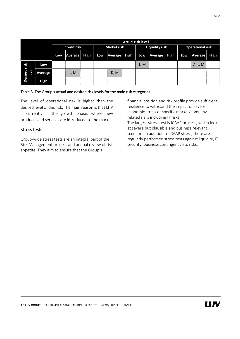16/32

|                                  |             | <b>Actual risk level</b> |         |             |                    |                |                       |      |                         |      |     |         |      |
|----------------------------------|-------------|--------------------------|---------|-------------|--------------------|----------------|-----------------------|------|-------------------------|------|-----|---------|------|
|                                  |             | <b>Credit risk</b>       |         |             | <b>Market risk</b> |                | <b>Liquidity risk</b> |      | <b>Operational risk</b> |      |     |         |      |
|                                  |             | Low                      | Average | <b>High</b> | Low                | <b>Average</b> | High                  | Low  | Average                 | High | Low | Average | High |
| risk                             | Low         |                          |         |             |                    |                |                       | L, M |                         |      |     | A, L, M |      |
| ā<br>þ<br>Desired<br><b>Leve</b> | Average     |                          | L, M    |             |                    | D, M           |                       |      |                         |      |     |         |      |
|                                  | <b>High</b> |                          |         |             |                    |                |                       |      |                         |      |     |         |      |

#### Table 3. The Group's actual and desired risk levels for the main risk categories

The level of operational risk is higher than the desired level of this risk. The main reason is that LHV is currently in the growth phase, where new products and services are introduced to the market.

### Stress tests

Group-wide stress tests are an integral part of the Risk Management process and annual review of risk appetite. They aim to ensure that the Group's

financial position and risk profile provide sufficient resilience to withstand the impact of severe economic stress or specific market/company related risks including IT risks. The largest stress test is ICAAP process, which looks at severe but plausible and business relevant scenario. In addition to ICAAP stress, there are regularly performed stress tests against liquidity, IT security, business contingency etc risks.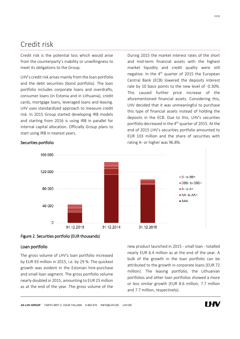## <span id="page-16-0"></span>Credit risk

Credit risk is the potential loss which would arise from the counterparty's inability or unwillingness to meet its obligations to the Group.

LHV's credit risk arises mainly from the loan portfolio and the debt securities (bond portfolio). The loan portfolio includes corporate loans and overdrafts, consumer loans (in Estonia and in Lithuania), credit cards, mortgage loans, leveraged loans and leasing. LHV uses standardized approach to measure credit risk. In 2015 Group started developing IRB models and starting from 2016 is using IRB in parallel for internal capital allocation. Officially Group plans to start using IRB in nearest years.

During 2015 the market interest rates of the short and mid-term financial assets with the highest market liquidity and credit quality were still negative. In the 4<sup>th</sup> quarter of 2015 the European Central Bank (ECB) lowered the deposits interest rate by 10 basis points to the new level of -0.30%. This caused further price increase of the aforementioned financial assets. Considering this, LHV decided that it was unmeaningful to purchase this type of financial assets instead of holding the deposits in the ECB. Due to this, LHV's securities portfolio decreased in the 4<sup>th</sup> quarter of 2015. At the end of 2015 LHV's securities portfolio amounted to EUR 103 million and the share of securities with rating A- or higher was 96.8%.



#### Securities portfolio



## Loan portfolio

The gross volume of LHV's loan portfolio increased by EUR 93 million in 2015, i.e. by 29 %. The quickest growth was evident in the Estonian hire-purchase and small loan segment. The gross portfolio volume nearly doubled in 2015, amounting to EUR 25 million as at the end of the year. The gross volume of the new product launched in 2015 - small loan - totalled nearly EUR 6.4 million as at the end of the year. A bulk of the growth in the loan portfolio can be attributed to the growth in corporate loans (EUR 72 million). The leasing portfolio, the Lithuanian portfolios and other loan portfolios showed a more or less similar growth (EUR 8.6 million, 7.7 million and 7.7 million, respectively).

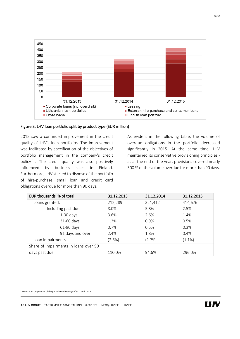



### Figure 3. LHV loan portfolio split by product type (EUR million)

2015 saw a continued improvement in the credit quality of LHV's loan portfolios. The improvement was facilitated by specification of the objectives of portfolio management in the company's credit policy  $1$ . The credit quality was also positively influenced by business sales in Finland. Furthermore, LHV started to dispose of the portfolio of hire-purchase, small loan and credit card obligations overdue for more than 90 days.

> As evident in the following table, the volume of overdue obligations in the portfolio decreased significantly in 2015. At the same time, LHV maintained its conservative provisioning principles as at the end of the year, provisions covered nearly 300 % of the volume overdue for more than 90 days.

| EUR thousands, % of total             | 31.12.2013 | 31.12.2014 | 31.12.2015 |
|---------------------------------------|------------|------------|------------|
| Loans granted,                        | 212,289    | 321,412    | 414,676    |
| Including past due:                   | 8.0%       | 5.8%       | 2.5%       |
| $1-30$ days                           | 3.6%       | 2.6%       | 1.4%       |
| 31-60 days                            | 1.3%       | 0.9%       | 0.5%       |
| 61-90 days                            | 0.7%       | 0.5%       | 0.3%       |
| 91 days and over                      | 2.4%       | 1.8%       | 0.4%       |
| Loan impairments                      | (2.6%)     | (1.7%)     | $(1.1\%)$  |
| Share of impairments in loans over 90 |            |            |            |
| days past due                         | 110.0%     | 94.6%      | 296.0%     |

<sup>1</sup> Restrictions on portions of the portfolio with ratings of 9-12 and 10-12.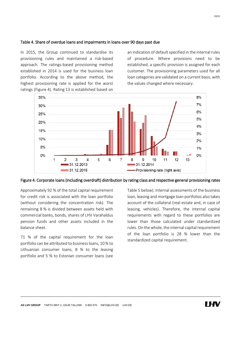#### Table 4. Share of overdue loans and impairments in loans over 90 days past due

In 2015, the Group continued to standardise its provisioning rules and maintained a risk-based approach. The ratings-based provisioning method established in 2014 is used for the business loan portfolio. According to the above method, the highest provisioning rate is applied for the worst ratings (Figure 4). Rating 13 is established based on

an indication of default specified in the internal rules of procedure. Where provisions need to be established, a specific provision is assigned for each customer. The provisioning parameters used for all loan categories are validated on a current basis, with the values changed where necessary.





Approximately 92 % of the total capital requirement for credit risk is associated with the loan portfolio (without considering the concentration risk). The remaining 8 % is divided between assets held with commercial banks, bonds, shares of LHV Varahaldus pension funds and other assets included in the balance sheet.

71 % of the capital requirement for the loan portfolio can be attributed to business loans, 10 % to Lithuanian consumer loans, 8 % to the leasing portfolio and 5 % to Estonian consumer loans (see Table 5 below). Internal assessments of the business loan, leasing and mortgage loan portfolios also takes account of the collateral (real estate and, in case of leasing, vehicles). Therefore, the internal capital requirements with regard to these portfolios are lower than those calculated under standardized rules. On the whole, the internal capital requirement of the loan portfolio is 28 % lower than the standardized capital requirement.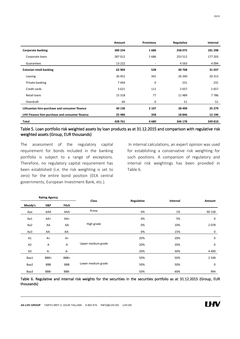|                                                | Amount   | <b>Provisions</b>        | Regulative | Internal |
|------------------------------------------------|----------|--------------------------|------------|----------|
| <b>Corporate banking</b>                       | 300 234  | 1686                     | 258 075    | 181 298  |
| Corporate loans                                | 287012   | 1686                     | 253 512    | 177 203  |
| Guarantees                                     | 13 2 2 2 | $\overline{\phantom{a}}$ | 4563       | 4 0 9 4  |
| <b>Estonian retail banking</b>                 | 62 904   | 528                      | 40768      | 31 037   |
| Leasing                                        | 36 452   | 341                      | 26 340     | 20 313   |
| Private banking                                | 7444     | 0                        | 231        | 231      |
| Credit cards                                   | 3621     | 111                      | 2657       | 2657     |
| Retail loans                                   | 15 3 18  | 77                       | 11 4 8 9   | 7786     |
| Overdraft                                      | 69       | 0                        | 51         | 51       |
| Lithuanian hire-purchase and consumer finance  | 40 136   | 2 1 0 7                  | 28 4 90    | 25 279   |
| LHV Finance hire-purchase and consumer finance | 25 4 86  | 358                      | 18846      | 12 196   |
| <b>Total</b>                                   | 428 761  | 4680                     | 346 178    | 249 810  |

### Table 5. Loan portfolio risk weighted assets by loan products as at 31.12.2015 and comparison with regulative risk weighted assets (Group, EUR thousands)

The assessment of the regulatory capital requirement for bonds included in the banking portfolio is subject to a range of exceptions. Therefore, no regulatory capital requirement has been established (i.e. the risk weighting is set to zero) for the entire bond position (EEA central governments, European Investment Bank, etc.).

In internal calculations, an expert opinion was used for establishing a conservative risk weighting for such positions. A comparison of regulatory and internal risk weightings has been provided in Table 6.

|                | <b>Rating Agency</b> |            | Class              | Regulative | Internal | Amount      |
|----------------|----------------------|------------|--------------------|------------|----------|-------------|
| Moody's        | S&P                  | Fitch      |                    |            |          |             |
| Aaa            | AAA                  | AAA        | Prime              | 0%         | 1%       | 90 158      |
| Aa1            | AA+                  | AA+        |                    | 0%         | 5%       | $\mathbf 0$ |
| Aa2            | AA                   | AA         | High grade         | 0%         | 10%      | 2078        |
| Aa3            | AA-                  | AA-        |                    | 0%         | 15%      | 0           |
| A1             | $A+$                 | $A+$       |                    | 20%        | 20%      | $\mathbf 0$ |
| A2             | Α                    | Α          | Upper medium grade | 20%        | 20%      | $\mathbf 0$ |
| A <sub>3</sub> | A-                   | A-         |                    | 20%        | 30%      | 4 4 0 0     |
| Baa1           | BBB+                 | BBB+       |                    | 50%        | 50%      | 2 5 4 8     |
| Baa2           | <b>BBB</b>           | <b>BBB</b> | Lower medium grade | 50%        | 50%      | 0           |
| Baa3           | BBB-                 | BBB-       |                    | 50%        | 60%      | 994         |

Table 6. Regulative and internal risk weights for the securities in the securities portfolio as at 31.12.2015 (Group, EUR thousands)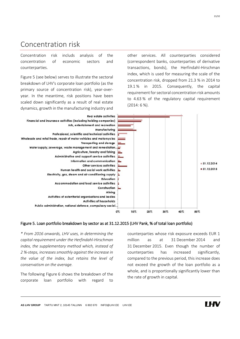## <span id="page-20-0"></span>Concentration risk

Concentration risk includs analysis of the concentration of economic sectors and counterparties.

Figure 5 (see below) serves to illustrate the sectoral breakdown of LHV's corporate loan portfolio (as the primary source of concentration risk), year-overyear. In the meantime, risk positions have been scaled down significantly as a result of real estate dynamics, growth in the manufacturing industry and other services. All counterparties considered (correspondent banks, counterparties of derivative transactions, bonds), the Herfindahl-Hirschman index, which is used for measuring the scale of the concentration risk, dropped from 21.3 % in 2014 to 19.1 % in 2015. Consequently, the capital requirement for sectoral concentration risk amounts to 4.63 % of the regulatory capital requirement (2014: 6 %).



#### Figure 5. Loan portfolio breakdown by sector as at 31.12.2015 (LHV Pank, % of total loan portfolio)

*\* From 2016 onwards, LHV uses, in determining the capital requirement under the Herfindahl-Hirschman index, the supplementary method which, instead of 2 %-steps, increases smoothly against the increase in the value of the index, but retains the level of conservatism on the average.*

The following Figure 6 shows the breakdown of the corporate loan portfolio with regard to

counterparties whose risk exposure exceeds EUR 1 million as at 31 December 2014 and 31 December 2015. Even though the number of counterparties has increased significantly, compared to the previous period, this increase does not exceed the growth of the loan portfolio as a whole, and is proportionally significantly lower than the rate of growth in capital.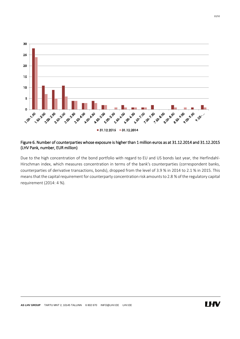

### Figure 6. Number of counterparties whose exposure is higher than 1 million euros as at 31.12.2014 and 31.12.2015 (LHV Pank, number, EUR million)

Due to the high concentration of the bond portfolio with regard to EU and US bonds last year, the Herfindahl-Hirschman index, which measures concentration in terms of the bank's counterparties (correspondent banks, counterparties of derivative transactions, bonds), dropped from the level of 3.9 % in 2014 to 2.1 % in 2015. This means that the capital requirement for counterparty concentration risk amounts to 2.8 % of the regulatory capital requirement (2014: 4 %).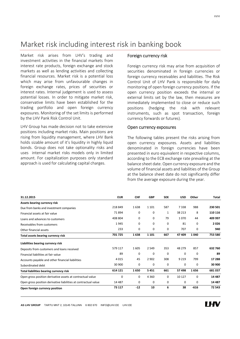## <span id="page-22-0"></span>Market risk including interest risk in banking book

Market risk arises from LHV's trading and investment activities in the financial markets from interest rate products, foreign exchange and stock markets as well as lending activities and collecting financial resources. Market risk is a potential loss which may arise from unfavourable changes in foreign exchange rates, prices of securities or interest rates. Internal judgement is used to assess potential losses. In order to mitigate market risk, conservative limits have been established for the trading portfolio and open foreign currency exposures. Monitoring of the set limits is performed by the LHV Pank Risk Control Unit.

LHV Group has made decision not to take extensive positions including market risks. Main positions are rising from liquidity management, where LHV Bank holds sizable amount of it's liquidity in highly liquid bonds. Group does not take optionality risks and uses internal market risks models only in limited amount. For capitalization purposes only standard approach is used for calculating capital charges.

### Foreign currency risk

Foreign currency risk may arise from acquisition of securities denominated in foreign currencies or foreign currency receivables and liabilities. The Risk Control Unit of LHV Pank is responsible for daily monitoring of open foreign currency positions. If the open currency position exceeds the internal or external limits set by the law, then measures are immediately implemented to close or reduce such positions (hedging the risk with relevant instruments, such as spot transaction, foreign currency forwards or futures).

#### Open currency exposures

The following tables present the risks arising from open currency exposures. Assets and liabilities denominated in foreign currencies have been presented in euro equivalent in respective columns, according to the ECB exchange rate prevailing at the balance sheet date. Open currency exposure and the volume of financial assets and liabilities of the Group at the balance sheet date do not significantly differ from the average exposure during the year.

| 31.12.2015                                                      | <b>EUR</b> | <b>CHF</b> | <b>GBP</b> | <b>SEK</b> | <b>USD</b> | Other    | <b>Total</b> |
|-----------------------------------------------------------------|------------|------------|------------|------------|------------|----------|--------------|
| Assets bearing currency risk                                    |            |            |            |            |            |          |              |
| Due from banks and investment companies                         | 218 849    | 1638       | 1 1 0 1    | 587        | 7338       | 988      | 230 501      |
| Financial assets at fair value                                  | 71894      | 0          | $\Omega$   | 1          | 38 213     | 8        | 110 116      |
| Loans and advances to customers                                 | 408 804    | 0          | $\Omega$   | 79         | 1070       | 44       | 409 997      |
| Receivables from customers                                      | 1945       | 0          | $\Omega$   | 0          | 81         | 0        | 2026         |
| Other financial assets                                          | 233        | 0          | $\Omega$   | 0          | 707        | 0        | 940          |
| Total assets bearing currency risk                              | 701 725    | 1638       | 1 1 0 1    | 667        | 47 409     | 1040     | 753 580      |
| Liabilities bearing currency risk                               |            |            |            |            |            |          |              |
| Deposits from customers and loans received                      | 579 117    | 1605       | 2 5 4 9    | 353        | 48 279     | 857      | 632 760      |
| Financial liabilities at fair value                             | 89         | 0          | 0          | 0          | 0          | 0        | 89           |
| Accounts payable and other financial liabilities                | 4015       | 45         | 2 9 0 2    | 308        | 9 2 1 9    | 799      | 17 288       |
| Subordinated debt                                               | 30 900     | 0          | 0          | 0          | 0          | 0        | 30 900       |
| Total liabilities bearing currency risk                         | 614 121    | 1650       | 5451       | 661        | 57498      | 1656     | 681 037      |
| Open gross position derivative assets at contractual value      | $\Omega$   | 0          | 4 3 6 0    | $\Omega$   | 10 127     | $\Omega$ | 14 4 8 7     |
| Open gross position derivative liabilities at contractual value | 14 4 8 7   | 0          | $\Omega$   | 0          | 0          | 0        | 14 4 8 7     |
| Open foreign currency position                                  | 73 117     | $-12$      | 10         | 6          | 38         | $-616$   | 72 543       |

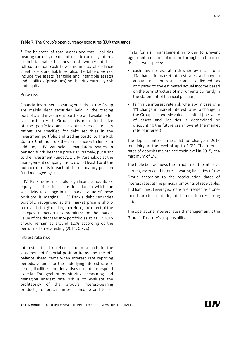#### Table 7. The Group's open currency exposures (EUR thousands)

\* The balances of total assets and total liabilities bearing currency risk do not include currency futures at their fair value, but they are shown here at their full contractual cash flow amounts as off-balance sheet assets and liabilities; also, the table does not include the assets (tangible and intangible assets) and liabilities (provisions) not bearing currency risk and equity.

#### Price risk

Financial instruments bearing price risk at the Group are mainly debt securities held in the trading portfolio and investment portfolio and available for sale portfolio. At the Group, limits are set for the size of the portfolios and acceptable credit quality ratings are specified for debt securities in the investment portfolio and trading portfolio. The Risk Control Unit monitors the compliance with limits. In addition, LHV Varahaldus mandatory shares in pension funds bear the price risk. Namely, pursuant to the Investment Funds Act, LHV Varahaldus as the management company has to own at least 1% of the number of units in each of the mandatory pension fund managed by it.

LHV Pank does not hold significant amounts of equity securities in its position, due to which the sensitivity to change in the market value of these positions is marginal. LHV Pank's debt securities portfolio recognised at the market price is shortterm and of high quality, therefore, the effect of the changes in market risk premiums on the market value of the debt security portfolio as at 31.12.2015 should remain at around 1.0% according ot the performed stress-testing (2014: 0.9%.)

#### Intrest rate risk

Interest rate risk reflects the mismatch in the statement of financial position items and the offbalance sheet items when interest rate repricing periods, volumes or the underlying interest rate of assets, liabilities and derivatives do not correspond exactly. The goal of monitoring, measuring and managing interest rate risk is to evaluate the profitability of the Group's interest-bearing products, to forecast interest income and to set limits for risk management in order to prevent significant reduction of income through limitation of risks in two aspects:

- cash flow interest rate risk whereby in case of a 1% change in market interest rates, a change in annual net interest income is limited as compared to the estimated actual income based on the term structure of instruments currently in the statement of financial position;
- fair value interest rate risk whereby in case of a 1% change in market interest rates, a change in the Group's economic value is limited (fair value of assets and liabilities is determined by discounting the future cash flows at the market rate of interest).

The deposits interest rates did not change in 2015 remaining at the level of up to 1.0%. The interest rates of deposits maintained their level in 2015, at a maximum of 1%.

The table below shows the structure of the interestearning assets and interest-bearing liabilities of the Group according to the recalculation dates of interest rates at the principal amounts of receivables and liabilities. Leveraged loans are treated as a onemonth product maturing at the next interest fixing date.

The operational interest rate risk management is the Group's Treasury's responsibility.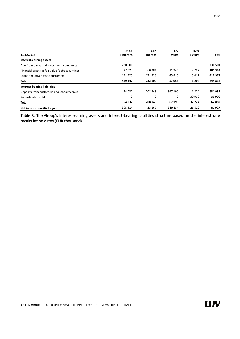|                                                  | Up to    | $3 - 12$ | $1-5$    | Over     |              |
|--------------------------------------------------|----------|----------|----------|----------|--------------|
| 31.12.2015                                       | 3 months | months   | vears    | 5 years  | <b>Total</b> |
| Interest-earning assets                          |          |          |          |          |              |
| Due from banks and investment companies          | 230 501  | 0        | 0        | 0        | 230 501      |
| Financial assets at fair value (debt securities) | 27023    | 60 281   | 11 246   | 2792     | 101 342      |
| Loans and advances to customers                  | 191923   | 171828   | 45 810   | 3 4 1 2  | 412 973      |
| <b>Total</b>                                     | 449 447  | 232 109  | 57056    | 6 204    | 744 816      |
| <b>Interest-bearing liabilities</b>              |          |          |          |          |              |
| Deposits from customers and loans received       | 54 032   | 208 943  | 367 190  | 1824     | 631 989      |
| Subordinated debt                                | 0        | 0        | 0        | 30 900   | 30 900       |
| Total                                            | 54 032   | 208 943  | 367 190  | 32724    | 662 889      |
| Net interest sensitivity gap                     | 395 414  | 23 167   | -310 134 | $-26520$ | 81927        |

Table 8. The Group's interest-earning assets and interest-bearing liabilities structure based on the interest rate recalculation dates (EUR thousands)

25/32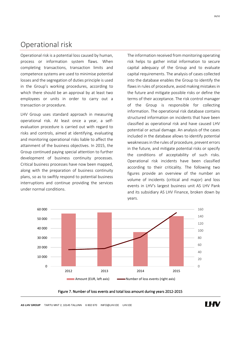## <span id="page-25-0"></span>Operational risk

Operational risk is a potential loss caused by human, process or information system flaws. When completing transactions, transaction limits and competence systems are used to minimise potential losses and the segregation of duties principle is used in the Group's working procedures, according to which there should be an approval by at least two employees or units in order to carry out a transaction or procedure.

LHV Group uses standard approach in measuring operational risk. At least once a year, a selfevaluation procedure is carried out with regard to risks and controls, aimed at identifying, evaluating and monitoring operational risks liable to affect the attainment of the business objectives. In 2015, the Group continued paying special attention to further development of business continuity processes. Critical business processes have now been mapped, along with the preparation of business continuity plans, so as to swiftly respond to potential business interruptions and continue providing the services under normal conditions.

The information received from monitoring operating risk helps to gather initial information to secure capital adequacy of the Group and to evaluate capital requirements. The analysis of cases collected into the database enables the Group to identify the flaws in rules of procedure, avoid making mistakes in the future and mitigate possible risks or define the terms of their acceptance. The risk control manager of the Group is responsible for collecting information. The operational risk database contains structured information on incidents that have been classified as operational risk and have caused LHV potential or actual damage. An analysis of the cases included in the database allows to identify potential weaknesses in the rules of procedure, prevent errors in the future, and mitigate potential risks or specify the conditions of acceptability of such risks. Operational risk incidents have been classified according to their criticality. The following two figures provide an overview of the number an volume of incidents (critical and major) and loss events in LHV's largest business unit AS LHV Pank and its subsidiary AS LHV Finance, broken down by years.



Figure 7. Number of loss events and total loss amount during years 2012-2015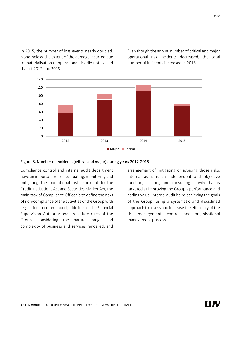In 2015, the number of loss events nearly doubled. Nonetheless, the extent of the damage incurred due to materialisation of operational risk did not exceed that of 2012 and 2013.

Even though the annual number of critical and major operational risk incidents decreased, the total number of incidents increased in 2015.



Compliance control and internal audit department have an important role in evaluating, monitoring and mitigating the operational risk. Pursuant to the Credit Institutions Act and Securities Market Act, the main task of Compliance Officer is to define the risks of non-compliance of the activities of the Group with legislation, recommended guidelines of the Financial Supervision Authority and procedure rules of the Group, considering the nature, range and complexity of business and services rendered, and arrangement of mitigating or avoiding those risks. Internal audit is an independent and objective function, assuring and consulting activity that is targeted at improving the Group's performance and adding value. Internal audit helps achieving the goals of the Group, using a systematic and disciplined approach to assess and increase the efficiency of the risk management, control and organisational management process.

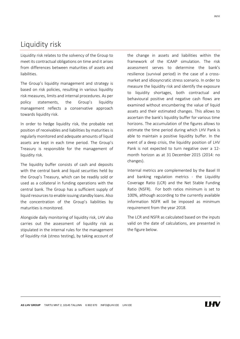## <span id="page-27-0"></span>Liquidity risk

Liquidity risk relates to the solvency of the Group to meet its contractual obligations on time and it arises from differences between maturities of assets and liabilities.

The Group's liquidity management and strategy is based on risk policies, resulting in various liquidity risk measures, limits and internal procedures. As per policy statements, the Group's liquidity management reflects a conservative approach towards liquidity risk.

In order to hedge liquidity risk, the probable net position of receivables and liabilities by maturities is regularly monitored and adequate amounts of liquid assets are kept in each time period. The Group's Treasury is responsible for the management of liquidity risk.

The liquidity buffer consists of cash and deposits with the central bank and liquid securities held by the Group's Treasury, which can be readily sold or used as a collateral in funding operations with the central bank. The Group has a sufficient supply of liquid resources to enable issuing standby loans. Also the concentration of the Group's liabilities by maturities is monitored.

Alongside daily monitoring of liquidity risk, LHV also carries out the assessment of liquidity risk as stipulated in the internal rules for the management of liquidity risk (stress testing), by taking account of the change in assets and liabilities within the framework of the ICAAP simulation. The risk assessment serves to determine the bank's resilience (survival period) in the case of a crossmarket and idiosyncratic stress scenario. In order to measure the liquidity risk and identify the exposure to liquidity shortages, both contractual and behavioural positive and negative cash flows are examined without encumbering the value of liquid assets and their estimated changes. This allows to ascertain the bank's liquidity buffer for various time horizons. The accumulation of the figures allows to estimate the time period during which LHV Pank is able to maintain a positive liquidity buffer. In the event of a deep crisis, the liquidity position of LHV Pank is not expected to turn negative over a 12 month horizon as at 31 December 2015 (2014: no changes).

Internal metrics are complemented by the Basel III and banking regulation metrics - the Liquidity Coverage Ratio (LCR) and the Net Stable Funding Ratio (NSFR). For both ratios minimum is set to 100%, although according to the currently available information NSFR will be imposed as minimum requirement from the year 2018.

The LCR and NSFR as calculated based on the inputs valid on the date of calculations, are presented in the figure below.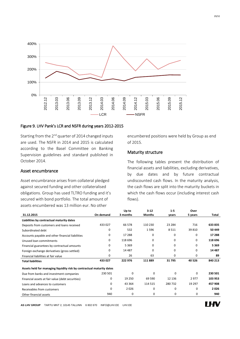

### Figure 9. LHV Pank's LCR and NSFR during years 2012-2015

Starting from the  $2^{nd}$  quarter of 2014 changed inputs are used. The NSFR in 2014 and 2015 is calculated according to the Basel Committee on Banking Supervision guidelines and standard published in October 2014.

#### Asset encumbrance

Asset encumbrance arises from collateral pledged against secured funding and other collateralised obligations. Group has used TLTRO funding and it's secured with bond portfolio. The total amount of assets encumbered was 13 million eur. No other

encumbered positions were held by Group as end of 2015.

### Maturity structure

The following tables present the distribution of financial assets and liabilities, excluding derivatives, by due dates and by future contractual undiscounted cash flows. In the maturity analysis, the cash flows are split into the maturity buckets in which the cash flows occur (including interest cash flows).

|                                                                       |           | Up to    | $3 - 12$      | $1-5$    | Over    |         |
|-----------------------------------------------------------------------|-----------|----------|---------------|----------|---------|---------|
| 31.12.2015                                                            | On demand | 3 months | <b>Months</b> | vears    | 5 years | Total   |
| Liabilities by contractual maturity dates                             |           |          |               |          |         |         |
| Deposits from customers and loans received                            | 433 027   | 66 578   | 110 230       | 23 2 84  | 716     | 633 835 |
| Subordinated debt                                                     | 0         | 532      | 1596          | 8511     | 39 810  | 50 449  |
| Accounts payable and other financial liabilities                      | 0         | 17 288   | $\Omega$      | $\Omega$ | 0       | 17 288  |
| Unused loan commitments                                               | 0         | 118 696  | $\Omega$      | 0        | 0       | 118 696 |
| Financial guarantees by contractual amounts                           | 0         | 5 3 6 9  | $\Omega$      | $\Omega$ | 0       | 5 3 6 9 |
| Foreign exchange derivatives (gross settled)                          | 0         | 14 4 87  | $\Omega$      | 0        | 0       | 14 4 87 |
| Financial liabilities at fair value                                   | 0         | 26       | 63            | 0        | 0       | 89      |
| <b>Total liabilities</b>                                              | 433 027   | 222 976  | 111889        | 31795    | 40 5 26 | 840 213 |
| Assets held for managing liquidity risk by contractual maturity dates |           |          |               |          |         |         |
| Due from banks and investment companies                               | 230 501   | $\Omega$ | $\Omega$      | $\Omega$ | 0       | 230 501 |
| Financial assets at fair value (debt securities)                      | 0         | 19 250   | 69 590        | 12 13 6  | 2977    | 103 953 |
| Loans and advances to customers                                       | 0         | 43 3 64  | 114 515       | 280732   | 19 297  | 457 908 |
| Receivables from customers                                            | $\Omega$  | 2026     | $\Omega$      | $\Omega$ | 0       | 2026    |
| Other financial assets                                                | 940       | 0        | 0             | 0        | 0       | 940     |

**AS LHV GROUP** TARTU MNT 2, 10145 TALLINN 6 802 670 INFO@LHV.EE LHV.EE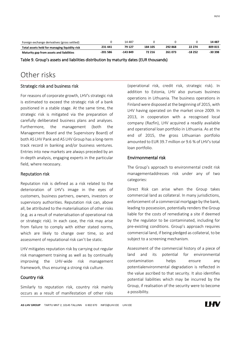| Foreign exchange derivatives (gross settled)  |           | 14 487    |         |         |          | 14 4 8 7 |
|-----------------------------------------------|-----------|-----------|---------|---------|----------|----------|
| Total assets held for managing liquidity risk | 231 441   | 79 127    | 184 105 | 292868  | 22 274   | 809 815  |
| Maturity gap from assets and liabilities      | $-201586$ | $-143849$ | 72 216  | 261 073 | $-18252$ | $-30398$ |

Table 9. Group's assets and liabilities distribution by maturity dates (EUR thousands)

## <span id="page-29-0"></span>Other risks

### Strategic risk and business risk

For reasons of corporate growth, LHV's strategic risk is estimated to exceed the strategic risk of a bank positioned in a stable stage. At the same time, the strategic risk is mitigated via the preparation of carefully deliberated business plans and analyses. Furthermore, the management (both the Management Board and the Supervisory Board) of both AS LHV Pank and AS LHV Group has a long-term track record in banking and/or business ventures. Entries into new markets are always preceded by an in-depth analysis, engaging experts in the particular field, where necessary.

### Reputation risk

Reputation risk is defined as a risk related to the deterioration of LHV's image in the eyes of customers, business partners, owners, investors or supervisory authorities. Reputation risk can, above all, be attributed to the materialisation of other risks (e.g. as a result of materialisation of operational risk or strategic risk). In each case, the risk may arise from failure to comply with either stated norms, which are likely to change over time, so and assessment of reputational risk can't be static.

LHV mitigates reputation risk by carrying out regular risk management training as well as by continually improving the LHV-wide risk management framework, thus ensuring a strong risk culture.

## Country risk

Similarly to reputation risk, country risk mainly occurs as a result of manifestation of other risks (operational risk, credit risk, strategic risk). In addition to Estonia, LHV also pursues business operations in Lithuania. The business operations in Finland were disposed at the beginning of 2015, with LHV having operated on the market since 2009. In 2013, in cooperation with a recognised local company (Razfin), LHV acquired a readily available and operational loan portfolio in Lithuania. As at the end of 2015, the gross Lithuanian portfolio amounted to EUR 39.7 million or 9.6 % of LHV's total loan portfolio.

## Envirnonmental risk

The Group's approach to environmental credit risk managementaddresses risk under any of two categories:

Direct Risk can arise when the Group takes commercial land as collateral. In many jurisdictions, enforcement of a commercial mortgage by the bank, leading to possession, potentially renders the Group liable for the costs of remediating a site if deemed by the regulator to be contaminated, including for pre-existing conditions. Group's approach requires commercial land, if being pledged as collateral, to be subject to a screening mechanism.

Assessment of the commercial history of a piece of land and its potential for environmental contamination helps ensure any potentialenvironmental degradation is reflected in the value ascribed to that security. It also identifies potential liabilities which may be incurred by the Group, if realisation of the security were to become a possibility.

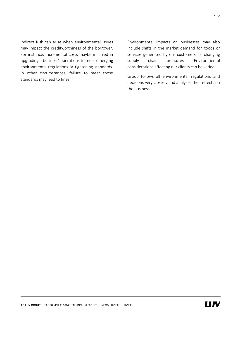Indirect Risk can arise when environmental issues may impact the creditworthiness of the borrower. For instance, incremental costs maybe incurred in upgrading a business' operations to meet emerging environmental regulations or tightening standards. In other circumstances, failure to meet those standards may lead to fines.

Environmental impacts on businesses may also include shifts in the market demand for goods or services generated by our customers, or changing supply chain pressures. Environmental considerations affecting our clients can be varied.

Group follows all environmental regulations and decisions very closesly and analyses their effects on the business.